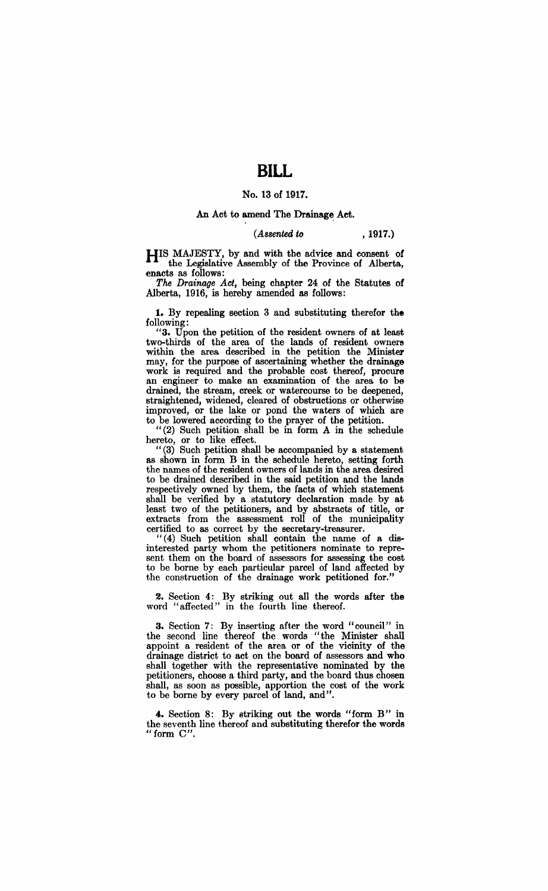# **BILL**

### No. 13 of 1917.

### An Act to amend The Drainage. Act.

### *(Assented to* , 1917.)

HIS MAJESTY, by and with the advice and consent of the Legislative Assembly of the Province of Alberta, enacts as follows:

*The Drainage Act,* being chapter 24 of the Statutes of Alberta, 1916, is hereby amended as follows:

1. By repealing section 3 and substituting therefor the following:

"3. Upon the petition of the resident owners of at least two-thirds of the area of the lands of resident owners within the area described in the petition the Minister may, for the purpose of ascertaining whether the drainage work is required and the probable cost thereof, procure an engineer to make an examination of the area to be drained, the stream, creek or watercourse to be deepened, straightened, widened, cleared of obstructions or otherwise improved, or the lake or pond the waters of which are to be lowered according to the prayer of the petition.

 $H(2)$  Such petition shall be in form A in the schedule hereto, or to like effect.

 $I'(3)$  Such petition shall be accompanied by a statement as shown in form B in the schedule hereto, setting forth the names of the resident owners of lands in the area desired to be drained described in the said petition and the lands respectively owned by them, the facts of which statement shall be verified by a statutory declaration made by at least two of the petitioners, and by abstracts of title, or extracts from the assessment roll of the municipality certified to as correct by the secretary-treasurer.

 $I'(4)$  Such petition shall contain the name of a disinterested party whom the petitioners nominate to represent them on the board of assessors for assessing the cost to be borne by each particular parcel of land affected by the construction of the drainage work petitioned for."

2. Section 4: By striking out all the words after the word "affected" in the fourth line thereof.

3. Section 7: By inserting after the word "council" in the second line thereof the words "the Minister shall appoint a resident of the area or of the vicinity of the drainage district to act on the board of assessors and who shall together with the representative nominated by the petitioners, choose a third party, and the board thus chosen shall, as soon as possible, apportion the cost of the work to be borne by every parcel of land, and".

4. Section 8: By striking out the words "form B" in the seventh line thereof and substituting therefor the words "form  $C$ ".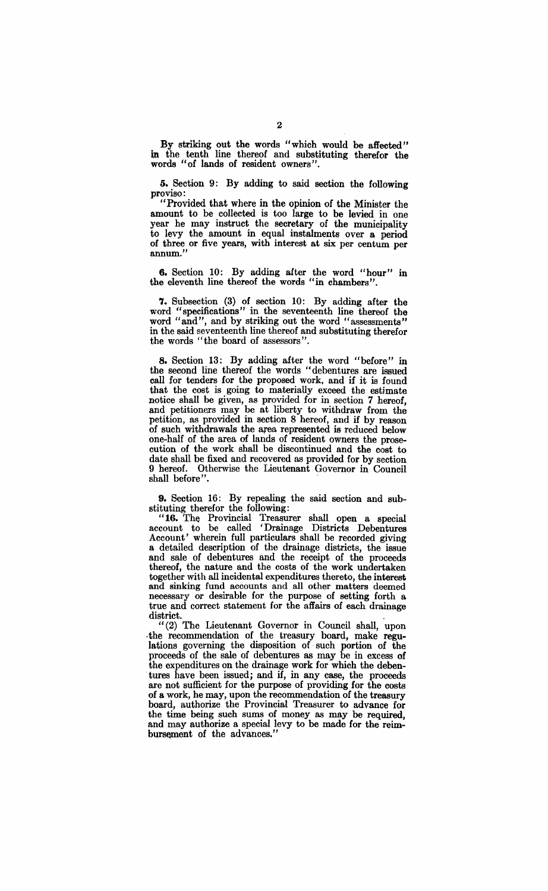By striking out the words "which would be affected" in the tenth line thereof and substituting therefor the words "of lands of resident owners".

5. Section 9: By adding to said section the following proviso:

"Provided that where in the opinion of the Minister the amount to be collected is too large to be levied in one year he may instruct the secretary of the municipality to levy the amount in equal instalments over a period of three or five years, with interest at six per centum per annum."

6. Section 10: By adding after the word "hour" in the eleventh line thereof the words "in chambers".

7. Subsection (3) of section 10: By adding after the word "specifications" in the seventeenth line thereof the word "and", and by striking out the word "assessments" in the said seventeenth line thereof and substituting therefor the words "the board of assessors".

8. Section 13: By adding after the word "before" in the second line thereof the words "debentures are issued call for tenders for the proposed work, and if it is found that the cost is going to materially exceed the estimate notice shall be given, as provided for in section 7 hereof, and petitioners may be at liberty to withdraw from the petition, as provided in section 8 hereof, and if by reason of such withdrawals the area represented is reduced below one-half of the area of lands of resident owners the prosecution of the work shall be discontinued and the cost to date shall be fixed and recovered as provided for by section 9 hereof. Otherwise the Lieutenant Governor in Council shall before".

9. Section 16: By repealing the said section and substituting therefor the following:

"16. The Provincial Treasurer shall open a special account to be called 'Drainage Districts Debentures Account' wherein full particulars shall be recorded giving a detailed description of the drainage districts, the issue and sale of debentures and the receipt of the proceeds thereof, the nature and the costs of the work undertaken together with all incidental expenditures thereto, the interest and sinking fund accounts and all other matters deemed necessary or desirable for the purpose of setting forth a true and correct statement for the affairs of each drainage district.

 $I'(2)$  The Lieutenant Governor in Council shall, upon . the recommendation of the treasury board, make regulations governing the disposition of such portion of the proceeds of the sale of debentures as may be in excess of the expenditures on the drainage work for which the debentures have been issued; and if, in any case, the proceeds are not sufficient for the purpose of providing for the costs of a work, he may, upon the recommendation of the treasury board, authorize the Provincial Treasurer to advance for the time being such sums of money as may be required, and may authorize a special levy to be made for the reim bursement of the advances."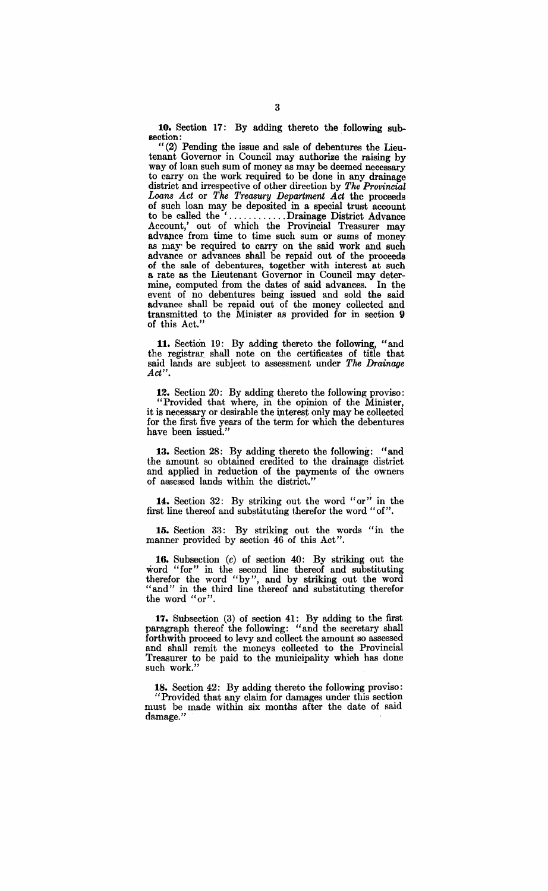10. Section 17: By adding thereto the following subsection:

"(2) Pending the issue and sale of debentures: the Lieutenant Governor in Council may authorize the raising by way of loan such sum of money as may be deemed necessary to carry on the work required to be done in any drainage district and irrespective of other direction by *The Provincial Loans Act* or *The Treasury Department Act* the proceeds of such loan may be deposited in a special trust account to be called the ' ............ Drainage District Advance Account,' out of which the Provincial Treasurer may advance from time to time such sum or sums of money as may be required to carry on the said work and such advance or advances shall be repaid out of the proceeds of the sale of debentures, together with interest at such a rate as the Lieutenant Governor in Council may determine, computed from the dates of said advances. In the event of no debentures being issued and sold the said advance shall be repaid out of the money collected and transmitted to the Minister as provided for in section 9 of this Act."

11. Section 19: By adding thereto the following, "and the registrar, shall note on the certificates of title that said lands are subject to assessment under *The Drainage Act".* 

12. Section 20: By adding thereto the following proviso: It Provided that where, in the opinion of the Minister, it is necessary or desirable the interest only may be collected for the first five years of the term for which the debentures have been issued."

13. Section 28: By adding thereto the following: "and the amount so obtained credited to the drainage district and applied in reduction of the payments of the owners of assessed lands within the district."

14:. Section 32: By striking out the word "or" in the first line thereof and substituting therefor the word "of"

15. Section 33: By striking out the words "in the manner provided by section 46 of this Act".

16. Subsection (c) of section 40: By striking out the word "for" in the second line thereof and substituting therefor the word "by", and by striking out the word "and" in the third line thereof and substituting therefor the word "or".

17. Subsection (3) of section 41: By adding to the first paragraph thereof the following: "and the secretary shall forthwith proceed to levy and collect the amount so assessed and shall remit the moneys collected to the Provincial Treasurer to be paid to the municipality which has done such work.'

18. Section 42: By adding thereto the following proviso: "Provided that any claim for damages under this section must be made within six months after the date of said damage."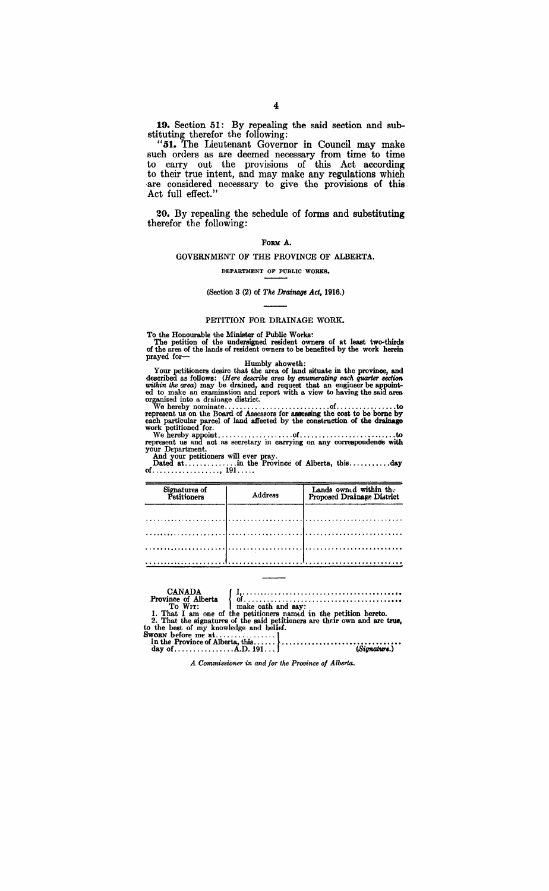19. Section 51: By repealing the said section nnd substituting therefor the following:

"51. The Lieutenant Governor in Council may make such orders as are deemed necessary from time to time to carry out the provisions of this Act according to their true intent, and may make any regulations which are considered necessary to give the provisions of this. Act full effect."

20. By repealing the schedule of forms and substituting therefor the following:

#### FORM A.

### GOVERNMENT OF THE PROVINCE OF ALBERTA.

DEPARTMENT OF PUBLIC WORKS.

### (Section 3 (2) of *The Drainage Act, 1916.)*

#### PETITION FOR DRAINAGE WORK.

To the Honourable the Minister of Public Works:<br>
The petition of the undersigned resident owners of at least two-thirds<br>
of the area of the lands of resident owners to be benefited by the work herein<br>
prayed for-

Humbly showeth:<br>Your petitioners desire that the area of land situate in the province, and described as follows: *(Here describe area by enumerating each quarter section within the area)* may be drained, and request that an engineer be appointed to make an examination and report with a view to having the said area organized into a drainage district. We hereby nominate ............................ of ................ to represent us on the Board of Assessors for I188essing the cost to be borne by

each particular parcel of land aft'ected by the construetion of the drainage work petitioned for. We hereby appoint .................... of ....................•..•.. to represent us and act as secretary in carrying on any correspondence with

your Department. And your petitioners will ever pray.

Dated at ......... , ... .in the Province of Alberta, this ....•.••..• day of .................. , 191 .... .

| Signatures of<br>Petitioners | Address | Lands owned within the<br>Proposed Drainage District |  |  |
|------------------------------|---------|------------------------------------------------------|--|--|
|                              |         |                                                      |  |  |
|                              |         |                                                      |  |  |
|                              |         |                                                      |  |  |

| <b>CANADA</b>                           | To WIT:   make oath and say: | 1. That I am one of the petitioners named in the petition hereto.<br>2. That the signatures of the said petitioners are their own and are true, |
|-----------------------------------------|------------------------------|-------------------------------------------------------------------------------------------------------------------------------------------------|
| to the best of my knowledge and belief. |                              |                                                                                                                                                 |
|                                         |                              |                                                                                                                                                 |
|                                         |                              |                                                                                                                                                 |
|                                         |                              | (Signature.)                                                                                                                                    |

*A Commissioner in and for the Province of Alberta.*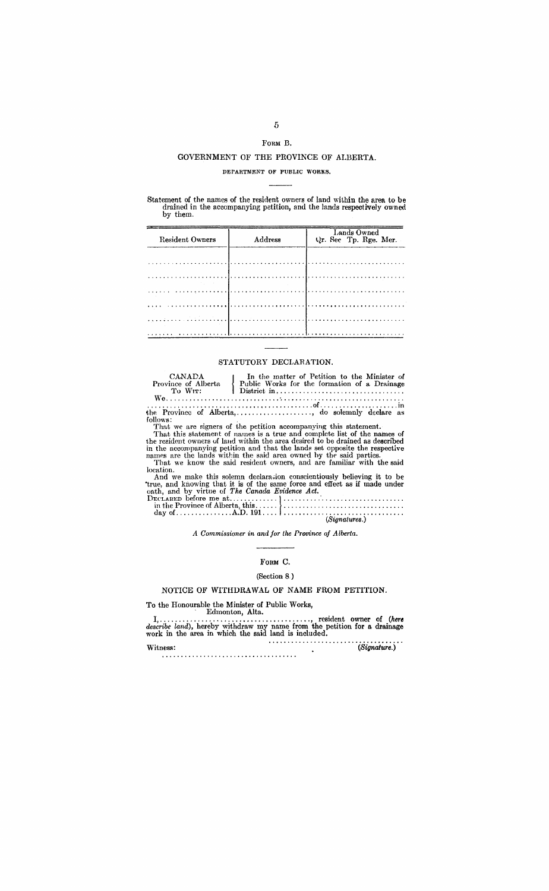## FORM B.

### GOVERNMENT OF THE PROVINCE OF ALBERTA.

### DEPARTMENT OF PUBLIC WORKS.

Statement of the names of the resident owners of land within the area to be drained in the accompanying petition, and the lands respectively owned by them.

| Resident Owners | Address | Lands Owned<br>Qr. Sec Tp. Rge. Mer. |
|-----------------|---------|--------------------------------------|
|                 |         |                                      |
|                 |         |                                      |
|                 |         |                                      |
|                 |         |                                      |
|                 |         |                                      |

### STATUTORY DECLARATION.

| CANADA<br>Province of Alberta | In the matter of Petition to the Minister of<br>Public Works for the formation of a Drainage |
|-------------------------------|----------------------------------------------------------------------------------------------|
| To Wit:                       |                                                                                              |
|                               | the Province of Alberta,, do solemnly declare as                                             |

the Province of Alberta,.................., do solemnly declare as<br>follows:<br>That we are signers of the petition accompanying this statement.<br>That this statement of names is a true and complete list of the names of<br>the resi

And we make this solemn declaration conscientiously believing it to be<br>true, and knowing that it is of the same force and effect as if made under<br>onth, and by virtue of The Canada Evidence Act.<br>DECLARED before me at.......

| (Signatures.) |  |
|---------------|--|
|               |  |
|               |  |

A Commissioner in and for the Province of Alberta.

### FORM C.

### (Section 8.)

### NOTICE OF WITHDRAWAL OF NAME FROM PETITION.

| ${\bf Withess}\colon$ | (Signature.) |
|-----------------------|--------------|
|                       |              |